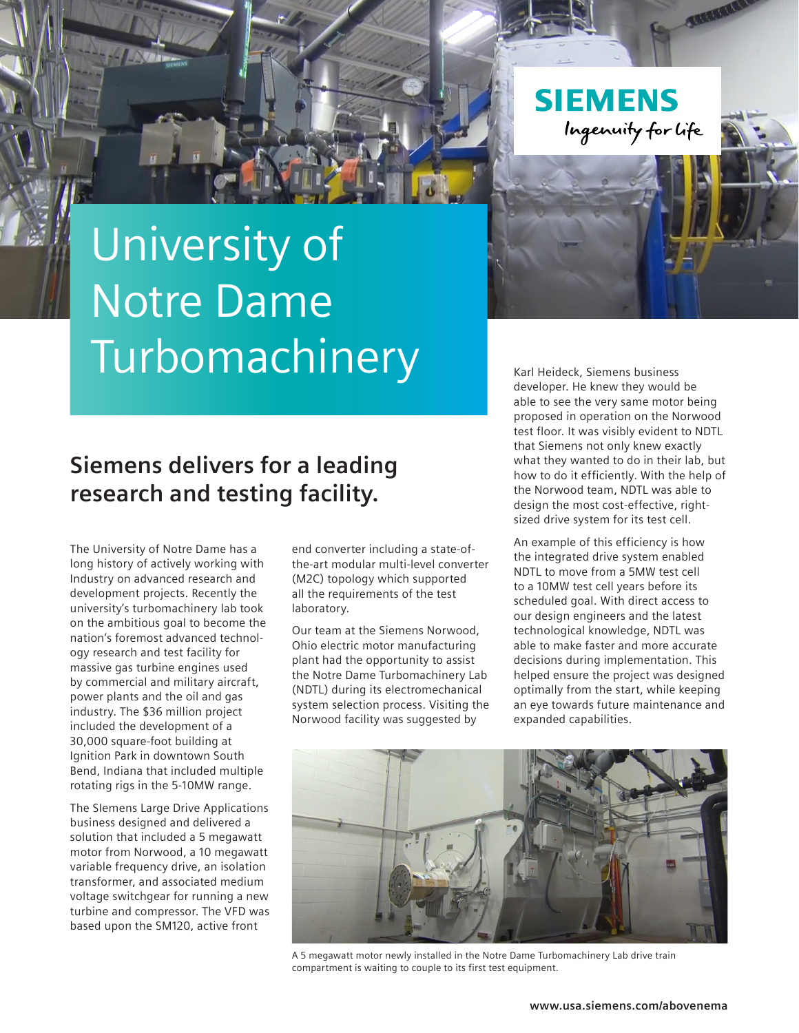

## University of Notre Dame Turbomachinery

## **Siemens delivers for a leading research and testing facility.**

The University of Notre Dame has a long history of actively working with Industry on advanced research and development projects. Recently the university's turbomachinery lab took on the ambitious goal to become the nation's foremost advanced technology research and test facility for massive gas turbine engines used by commercial and military aircraft, power plants and the oil and gas industry. The \$36 million project included the development of a 30,000 square-foot building at Ignition Park in downtown South Bend, Indiana that included multiple rotating rigs in the 5-10MW range.

The SIemens Large Drive Applications business designed and delivered a solution that included a 5 megawatt motor from Norwood, a 10 megawatt variable frequency drive, an isolation transformer, and associated medium voltage switchgear for running a new turbine and compressor. The VFD was based upon the SM120, active front

end converter including a state-ofthe-art modular multi-level converter (M2C) topology which supported all the requirements of the test laboratory.

Our team at the Siemens Norwood, Ohio electric motor manufacturing plant had the opportunity to assist the Notre Dame Turbomachinery Lab (NDTL) during its electromechanical system selection process. Visiting the Norwood facility was suggested by

Karl Heideck, Siemens business developer. He knew they would be able to see the very same motor being proposed in operation on the Norwood test floor. It was visibly evident to NDTL that Siemens not only knew exactly what they wanted to do in their lab, but how to do it efficiently. With the help of the Norwood team, NDTL was able to design the most cost-effective, rightsized drive system for its test cell.

An example of this efficiency is how the integrated drive system enabled NDTL to move from a 5MW test cell to a 10MW test cell years before its scheduled goal. With direct access to our design engineers and the latest technological knowledge, NDTL was able to make faster and more accurate decisions during implementation. This helped ensure the project was designed optimally from the start, while keeping an eye towards future maintenance and expanded capabilities.



A 5 megawatt motor newly installed in the Notre Dame Turbomachinery Lab drive train compartment is waiting to couple to its first test equipment.